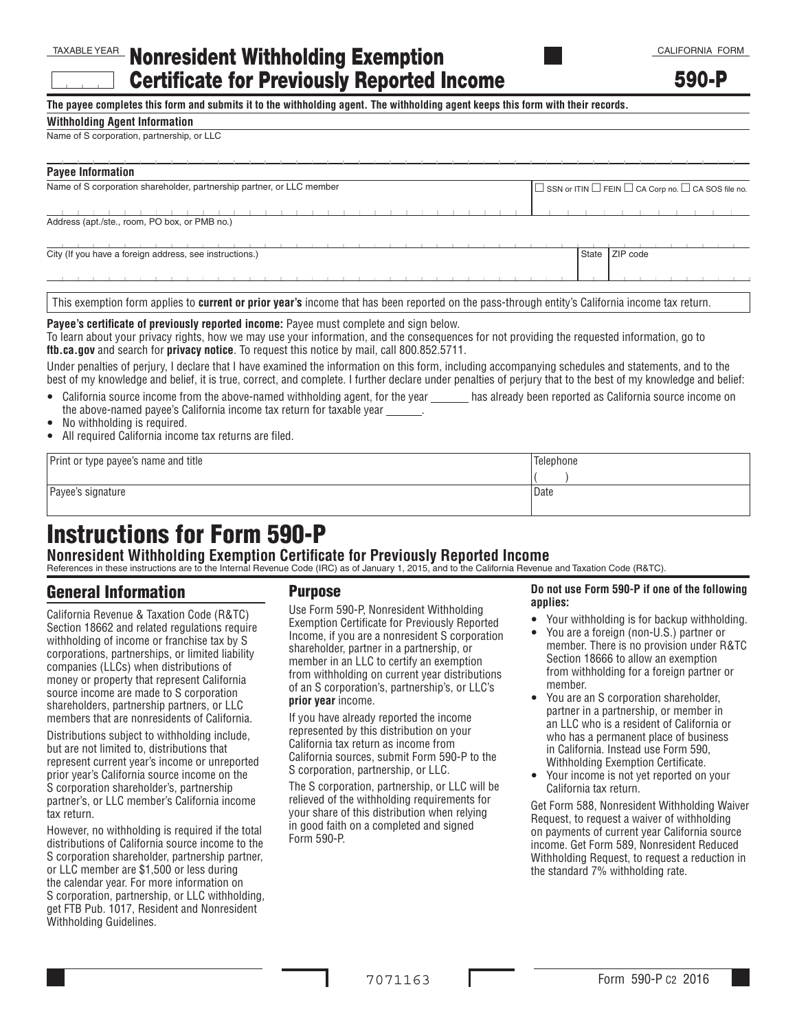## TAXABLE YEAR Nonresident Withholding Exemption Certificate for Previously Reported Income

**The payee completes this form and submits it to the withholding agent. The withholding agent keeps this form with their records.**

### **Withholding Agent Information**

#### Name of S corporation, partnership, or LLC

| <b>Payee Information</b>                                                                                                                                                                                                                                                                                                                              |                                                                          |
|-------------------------------------------------------------------------------------------------------------------------------------------------------------------------------------------------------------------------------------------------------------------------------------------------------------------------------------------------------|--------------------------------------------------------------------------|
| Name of S corporation shareholder, partnership partner, or LLC member                                                                                                                                                                                                                                                                                 | $\Box$ SSN or ITIN $\Box$ FEIN $\Box$ CA Corp no. $\Box$ CA SOS file no. |
|                                                                                                                                                                                                                                                                                                                                                       |                                                                          |
| Address (apt./ste., room, PO box, or PMB no.)                                                                                                                                                                                                                                                                                                         |                                                                          |
|                                                                                                                                                                                                                                                                                                                                                       |                                                                          |
| City (If you have a foreign address, see instructions.)                                                                                                                                                                                                                                                                                               | State ZIP code                                                           |
| This exemption form applies to <b>current or prior year's</b> income that has been reported on the pass-through entity's California income tax return.                                                                                                                                                                                                |                                                                          |
| Payee's certificate of previously reported income: Payee must complete and sign below.<br>To learn about your privacy rights, how we may use your information, and the consequences for not providing the requested information, go to<br><b>ftb.ca.gov</b> and search for <b>privacy notice</b> . To request this notice by mail, call 800.852.5711. |                                                                          |
| Under penalties of perjury, I declare that I have examined the information on this form, including accompanying schedules and statements, and to the                                                                                                                                                                                                  |                                                                          |

best of my knowledge and belief, it is true, correct, and complete. I further declare under penalties of perjury that to the best of my knowledge and belief:

- California source income from the above-named withholding agent, for the year has already been reported as California source income on the above-named payee's California income tax return for taxable year .
- No withholding is required.
- All required California income tax returns are filed.

Print or type payee's name and title Telephone and title Telephone and title Telephone and title Telephone and title

Payee's signature Date Date of the Date of the Date of the Date of the Date of the Date of the Date of the Date of the Date of the Date of the Date of the Date of the Date of the Date of the Date of the Date of the Date of

# Instructions for Form 590-P

**Nonresident Withholding Exemption Certificate for Previously Reported Income** References in these instructions are to the Internal Revenue Code (IRC) as of January 1, 2015, and to the California Revenue and Taxation Code (R&TC).

### General Information

California Revenue & Taxation Code (R&TC) Section 18662 and related regulations require withholding of income or franchise tax by S corporations, partnerships, or limited liability companies (LLCs) when distributions of money or property that represent California source income are made to S corporation shareholders, partnership partners, or LLC members that are nonresidents of California.

Distributions subject to withholding include, but are not limited to, distributions that represent current year's income or unreported prior year's California source income on the S corporation shareholder's, partnership partner's, or LLC member's California income tax return.

However, no withholding is required if the total distributions of California source income to the S corporation shareholder, partnership partner, or LLC member are \$1,500 or less during the calendar year. For more information on S corporation, partnership, or LLC withholding, get FTB Pub. 1017, Resident and Nonresident Withholding Guidelines.

### Purpose

Use Form 590-P, Nonresident Withholding Exemption Certificate for Previously Reported Income, if you are a nonresident S corporation shareholder, partner in a partnership, or member in an LLC to certify an exemption from withholding on current year distributions of an S corporation's, partnership's, or LLC's **prior year** income.

If you have already reported the income represented by this distribution on your California tax return as income from California sources, submit Form 590-P to the S corporation, partnership, or LLC.

The S corporation, partnership, or LLC will be relieved of the withholding requirements for your share of this distribution when relying in good faith on a completed and signed Form 590-P.

### **Do not use Form 590-P if one of the following applies:**

 $($  )

- Your withholding is for backup withholding.
- You are a foreign (non-U.S.) partner or member. There is no provision under R&TC Section 18666 to allow an exemption from withholding for a foreign partner or member.
- You are an S corporation shareholder. partner in a partnership, or member in an LLC who is a resident of California or who has a permanent place of business in California. Instead use Form 590, Withholding Exemption Certificate.
- Your income is not yet reported on your California tax return.

Get Form 588, Nonresident Withholding Waiver Request, to request a waiver of withholding on payments of current year California source income. Get Form 589, Nonresident Reduced Withholding Request, to request a reduction in the standard 7% withholding rate.